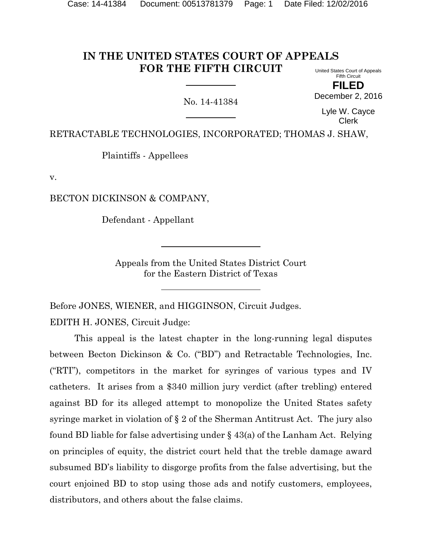#### **IN THE UNITED STATES COURT OF APPEALS FOR THE FIFTH CIRCUIT** United States Court of Appeals

No. 14-41384

Fifth Circuit **FILED**

December 2, 2016

Lyle W. Cayce Clerk

RETRACTABLE TECHNOLOGIES, INCORPORATED; THOMAS J. SHAW,

Plaintiffs - Appellees

v.

BECTON DICKINSON & COMPANY,

Defendant - Appellant

Appeals from the United States District Court for the Eastern District of Texas

Before JONES, WIENER, and HIGGINSON, Circuit Judges. EDITH H. JONES, Circuit Judge:

This appeal is the latest chapter in the long-running legal disputes between Becton Dickinson & Co. ("BD") and Retractable Technologies, Inc. ("RTI"), competitors in the market for syringes of various types and IV catheters. It arises from a \$340 million jury verdict (after trebling) entered against BD for its alleged attempt to monopolize the United States safety syringe market in violation of § 2 of the Sherman Antitrust Act. The jury also found BD liable for false advertising under § 43(a) of the Lanham Act. Relying on principles of equity, the district court held that the treble damage award subsumed BD's liability to disgorge profits from the false advertising, but the court enjoined BD to stop using those ads and notify customers, employees, distributors, and others about the false claims.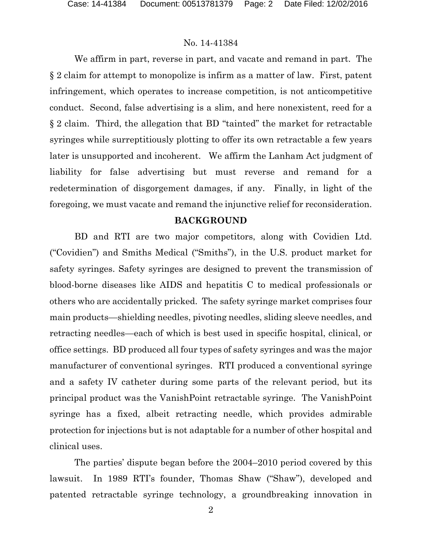We affirm in part, reverse in part, and vacate and remand in part. The § 2 claim for attempt to monopolize is infirm as a matter of law. First, patent infringement, which operates to increase competition, is not anticompetitive conduct. Second, false advertising is a slim, and here nonexistent, reed for a § 2 claim. Third, the allegation that BD "tainted" the market for retractable syringes while surreptitiously plotting to offer its own retractable a few years later is unsupported and incoherent. We affirm the Lanham Act judgment of liability for false advertising but must reverse and remand for a redetermination of disgorgement damages, if any. Finally, in light of the foregoing, we must vacate and remand the injunctive relief for reconsideration.

#### **BACKGROUND**

BD and RTI are two major competitors, along with Covidien Ltd. ("Covidien") and Smiths Medical ("Smiths"), in the U.S. product market for safety syringes. Safety syringes are designed to prevent the transmission of blood-borne diseases like AIDS and hepatitis C to medical professionals or others who are accidentally pricked. The safety syringe market comprises four main products—shielding needles, pivoting needles, sliding sleeve needles, and retracting needles—each of which is best used in specific hospital, clinical, or office settings. BD produced all four types of safety syringes and was the major manufacturer of conventional syringes. RTI produced a conventional syringe and a safety IV catheter during some parts of the relevant period, but its principal product was the VanishPoint retractable syringe. The VanishPoint syringe has a fixed, albeit retracting needle, which provides admirable protection for injections but is not adaptable for a number of other hospital and clinical uses.

The parties' dispute began before the 2004–2010 period covered by this lawsuit. In 1989 RTI's founder, Thomas Shaw ("Shaw"), developed and patented retractable syringe technology, a groundbreaking innovation in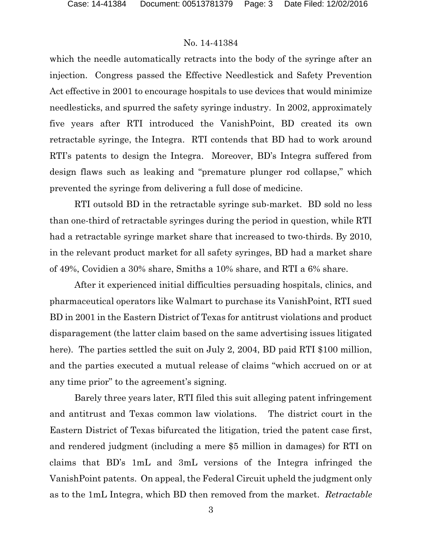which the needle automatically retracts into the body of the syringe after an injection. Congress passed the Effective Needlestick and Safety Prevention Act effective in 2001 to encourage hospitals to use devices that would minimize needlesticks, and spurred the safety syringe industry. In 2002, approximately five years after RTI introduced the VanishPoint, BD created its own retractable syringe, the Integra. RTI contends that BD had to work around RTI's patents to design the Integra. Moreover, BD's Integra suffered from design flaws such as leaking and "premature plunger rod collapse," which prevented the syringe from delivering a full dose of medicine.

RTI outsold BD in the retractable syringe sub-market. BD sold no less than one-third of retractable syringes during the period in question, while RTI had a retractable syringe market share that increased to two-thirds. By 2010, in the relevant product market for all safety syringes, BD had a market share of 49%, Covidien a 30% share, Smiths a 10% share, and RTI a 6% share.

After it experienced initial difficulties persuading hospitals, clinics, and pharmaceutical operators like Walmart to purchase its VanishPoint, RTI sued BD in 2001 in the Eastern District of Texas for antitrust violations and product disparagement (the latter claim based on the same advertising issues litigated here). The parties settled the suit on July 2, 2004, BD paid RTI \$100 million, and the parties executed a mutual release of claims "which accrued on or at any time prior" to the agreement's signing.

Barely three years later, RTI filed this suit alleging patent infringement and antitrust and Texas common law violations. The district court in the Eastern District of Texas bifurcated the litigation, tried the patent case first, and rendered judgment (including a mere \$5 million in damages) for RTI on claims that BD's 1mL and 3mL versions of the Integra infringed the VanishPoint patents. On appeal, the Federal Circuit upheld the judgment only as to the 1mL Integra, which BD then removed from the market. *Retractable*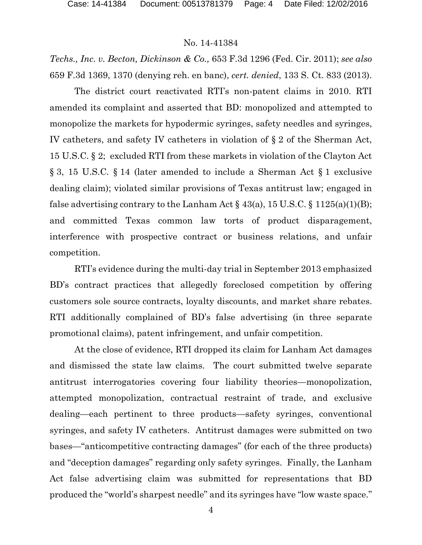*Techs., Inc. v. Becton, Dickinson & Co.,* 653 F.3d 1296 (Fed. Cir. 2011); *see also*  659 F.3d 1369, 1370 (denying reh. en banc), *cert. denied*, 133 S. Ct. 833 (2013).

The district court reactivated RTI's non-patent claims in 2010. RTI amended its complaint and asserted that BD: monopolized and attempted to monopolize the markets for hypodermic syringes, safety needles and syringes, IV catheters, and safety IV catheters in violation of § 2 of the Sherman Act, 15 U.S.C. § 2; excluded RTI from these markets in violation of the Clayton Act § 3, 15 U.S.C. § 14 (later amended to include a Sherman Act § 1 exclusive dealing claim); violated similar provisions of Texas antitrust law; engaged in false advertising contrary to the Lanham Act  $\S$  43(a), 15 U.S.C.  $\S$  1125(a)(1)(B); and committed Texas common law torts of product disparagement, interference with prospective contract or business relations, and unfair competition.

RTI's evidence during the multi-day trial in September 2013 emphasized BD's contract practices that allegedly foreclosed competition by offering customers sole source contracts, loyalty discounts, and market share rebates. RTI additionally complained of BD's false advertising (in three separate promotional claims), patent infringement, and unfair competition.

At the close of evidence, RTI dropped its claim for Lanham Act damages and dismissed the state law claims. The court submitted twelve separate antitrust interrogatories covering four liability theories—monopolization, attempted monopolization, contractual restraint of trade, and exclusive dealing—each pertinent to three products—safety syringes, conventional syringes, and safety IV catheters. Antitrust damages were submitted on two bases—"anticompetitive contracting damages" (for each of the three products) and "deception damages" regarding only safety syringes. Finally, the Lanham Act false advertising claim was submitted for representations that BD produced the "world's sharpest needle" and its syringes have "low waste space."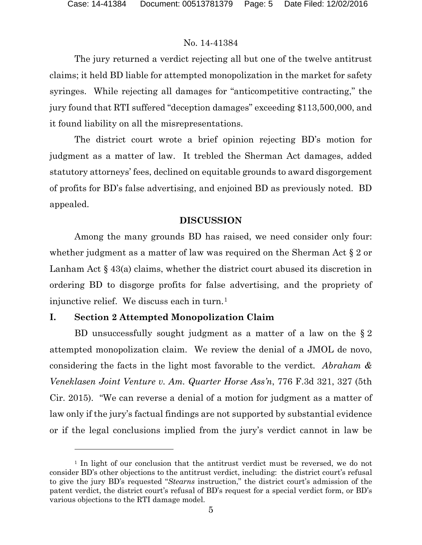l

## No. 14-41384

The jury returned a verdict rejecting all but one of the twelve antitrust claims; it held BD liable for attempted monopolization in the market for safety syringes. While rejecting all damages for "anticompetitive contracting," the jury found that RTI suffered "deception damages" exceeding \$113,500,000, and it found liability on all the misrepresentations.

The district court wrote a brief opinion rejecting BD's motion for judgment as a matter of law. It trebled the Sherman Act damages, added statutory attorneys' fees, declined on equitable grounds to award disgorgement of profits for BD's false advertising, and enjoined BD as previously noted. BD appealed.

## **DISCUSSION**

Among the many grounds BD has raised, we need consider only four: whether judgment as a matter of law was required on the Sherman Act § 2 or Lanham Act § 43(a) claims, whether the district court abused its discretion in ordering BD to disgorge profits for false advertising, and the propriety of injunctive relief. We discuss each in turn.<sup>[1](#page-4-0)</sup>

## **I. Section 2 Attempted Monopolization Claim**

BD unsuccessfully sought judgment as a matter of a law on the § 2 attempted monopolization claim. We review the denial of a JMOL de novo, considering the facts in the light most favorable to the verdict*. Abraham & Veneklasen Joint Venture v. Am. Quarter Horse Ass'n*, 776 F.3d 321, 327 (5th Cir. 2015). "We can reverse a denial of a motion for judgment as a matter of law only if the jury's factual findings are not supported by substantial evidence or if the legal conclusions implied from the jury's verdict cannot in law be

<span id="page-4-0"></span><sup>&</sup>lt;sup>1</sup> In light of our conclusion that the antitrust verdict must be reversed, we do not consider BD's other objections to the antitrust verdict, including: the district court's refusal to give the jury BD's requested "*Stearns* instruction," the district court's admission of the patent verdict, the district court's refusal of BD's request for a special verdict form, or BD's various objections to the RTI damage model.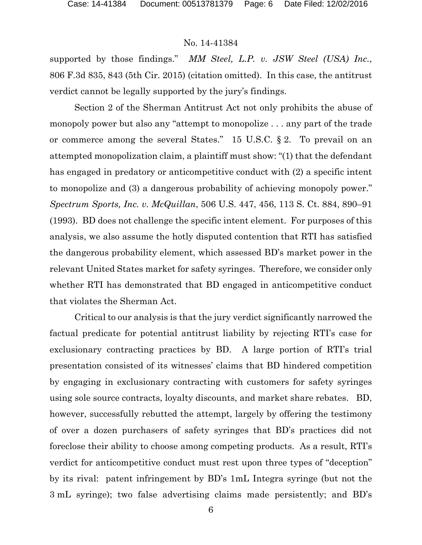supported by those findings." *MM Steel, L.P. v. JSW Steel (USA) Inc.*, 806 F.3d 835, 843 (5th Cir. 2015) (citation omitted). In this case, the antitrust verdict cannot be legally supported by the jury's findings.

Section 2 of the Sherman Antitrust Act not only prohibits the abuse of monopoly power but also any "attempt to monopolize . . . any part of the trade or commerce among the several States." 15 U.S.C. § 2. To prevail on an attempted monopolization claim, a plaintiff must show: "(1) that the defendant has engaged in predatory or anticompetitive conduct with (2) a specific intent to monopolize and (3) a dangerous probability of achieving monopoly power." *Spectrum Sports, Inc. v. McQuillan*, 506 U.S. 447, 456, 113 S. Ct. 884, 890–91 (1993). BD does not challenge the specific intent element. For purposes of this analysis, we also assume the hotly disputed contention that RTI has satisfied the dangerous probability element, which assessed BD's market power in the relevant United States market for safety syringes. Therefore, we consider only whether RTI has demonstrated that BD engaged in anticompetitive conduct that violates the Sherman Act.

Critical to our analysis is that the jury verdict significantly narrowed the factual predicate for potential antitrust liability by rejecting RTI's case for exclusionary contracting practices by BD. A large portion of RTI's trial presentation consisted of its witnesses' claims that BD hindered competition by engaging in exclusionary contracting with customers for safety syringes using sole source contracts, loyalty discounts, and market share rebates. BD, however, successfully rebutted the attempt, largely by offering the testimony of over a dozen purchasers of safety syringes that BD's practices did not foreclose their ability to choose among competing products. As a result, RTI's verdict for anticompetitive conduct must rest upon three types of "deception" by its rival: patent infringement by BD's 1mL Integra syringe (but not the 3 mL syringe); two false advertising claims made persistently; and BD's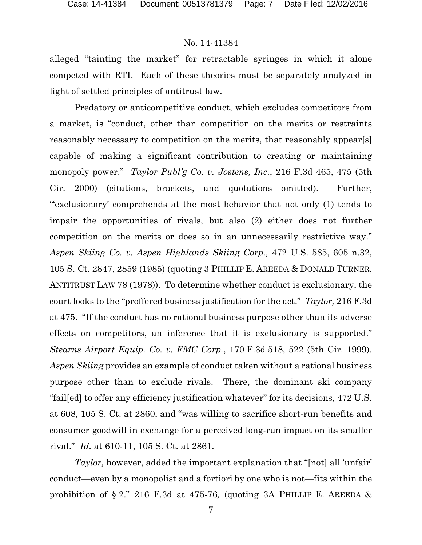alleged "tainting the market" for retractable syringes in which it alone competed with RTI. Each of these theories must be separately analyzed in light of settled principles of antitrust law.

Predatory or anticompetitive conduct, which excludes competitors from a market, is "conduct, other than competition on the merits or restraints reasonably necessary to competition on the merits, that reasonably appear[s] capable of making a significant contribution to creating or maintaining monopoly power." *Taylor Publ'g Co. v. Jostens, Inc.*, 216 F.3d 465, 475 (5th Cir. 2000) (citations, brackets, and quotations omitted). Further, "'exclusionary' comprehends at the most behavior that not only (1) tends to impair the opportunities of rivals, but also (2) either does not further competition on the merits or does so in an unnecessarily restrictive way." *Aspen Skiing Co. v. Aspen Highlands Skiing Corp.,* 472 U.S. 585, 605 n.32, 105 S. Ct. 2847, 2859 (1985) (quoting 3 PHILLIP E. AREEDA & DONALD TURNER, ANTITRUST LAW 78 (1978)). To determine whether conduct is exclusionary, the court looks to the "proffered business justification for the act." *Taylor,* 216 F.3d at 475. "If the conduct has no rational business purpose other than its adverse effects on competitors, an inference that it is exclusionary is supported." *Stearns Airport Equip. Co. v. FMC Corp.*, 170 F.3d 518, 522 (5th Cir. 1999). *Aspen Skiing* provides an example of conduct taken without a rational business purpose other than to exclude rivals. There, the dominant ski company "fail[ed] to offer any efficiency justification whatever" for its decisions, 472 U.S. at 608, 105 S. Ct. at 2860, and "was willing to sacrifice short-run benefits and consumer goodwill in exchange for a perceived long-run impact on its smaller rival." *Id.* at 610-11, 105 S. Ct. at 2861.

*Taylor,* however, added the important explanation that "[not] all 'unfair' conduct—even by a monopolist and a fortiori by one who is not—fits within the prohibition of § 2." 216 F.3d at 475-76*,* (quoting 3A PHILLIP E. AREEDA &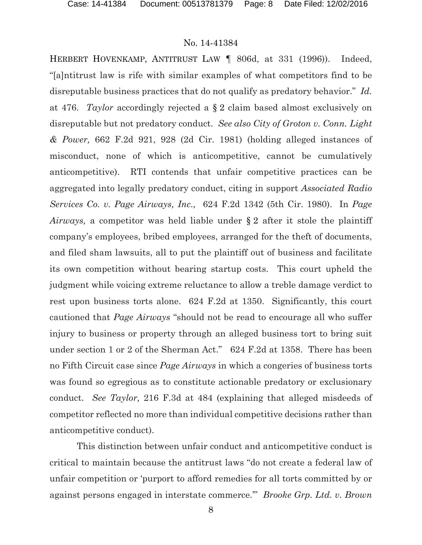HERBERT HOVENKAMP, ANTITRUST LAW ¶ 806d, at 331 (1996)). Indeed, "[a]ntitrust law is rife with similar examples of what competitors find to be disreputable business practices that do not qualify as predatory behavior." *Id.*  at 476. *Taylor* accordingly rejected a § 2 claim based almost exclusively on disreputable but not predatory conduct. *See also City of Groton v. Conn. Light & Power,* 662 F.2d 921, 928 (2d Cir. 1981) (holding alleged instances of misconduct, none of which is anticompetitive, cannot be cumulatively anticompetitive). RTI contends that unfair competitive practices can be aggregated into legally predatory conduct, citing in support *Associated Radio Services Co. v. Page Airways, Inc.,* 624 F.2d 1342 (5th Cir. 1980). In *Page Airways,* a competitor was held liable under § 2 after it stole the plaintiff company's employees, bribed employees, arranged for the theft of documents, and filed sham lawsuits, all to put the plaintiff out of business and facilitate its own competition without bearing startup costs. This court upheld the judgment while voicing extreme reluctance to allow a treble damage verdict to rest upon business torts alone. 624 F.2d at 1350. Significantly, this court cautioned that *Page Airways* "should not be read to encourage all who suffer injury to business or property through an alleged business tort to bring suit under section 1 or 2 of the Sherman Act." 624 F.2d at 1358. There has been no Fifth Circuit case since *Page Airways* in which a congeries of business torts was found so egregious as to constitute actionable predatory or exclusionary conduct. *See Taylor,* 216 F.3d at 484 (explaining that alleged misdeeds of competitor reflected no more than individual competitive decisions rather than anticompetitive conduct).

This distinction between unfair conduct and anticompetitive conduct is critical to maintain because the antitrust laws "do not create a federal law of unfair competition or 'purport to afford remedies for all torts committed by or against persons engaged in interstate commerce.'" *Brooke Grp. Ltd. v. Brown*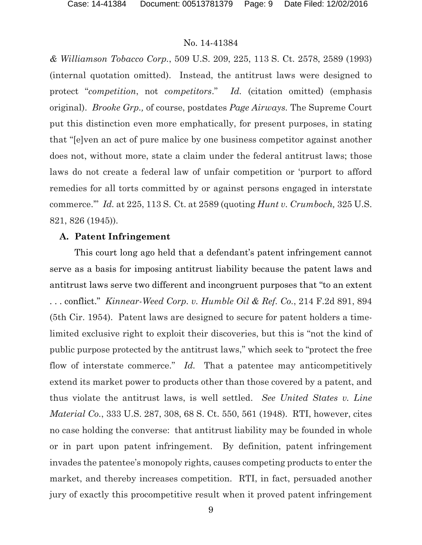*& Williamson Tobacco Corp.*, 509 U.S. 209, 225, 113 S. Ct. 2578, 2589 (1993) (internal quotation omitted). Instead, the antitrust laws were designed to protect "*competition*, not *competitors*." *Id.* (citation omitted) (emphasis original). *Brooke Grp.,* of course, postdates *Page Airways.* The Supreme Court put this distinction even more emphatically, for present purposes, in stating that "[e]ven an act of pure malice by one business competitor against another does not, without more, state a claim under the federal antitrust laws; those laws do not create a federal law of unfair competition or 'purport to afford remedies for all torts committed by or against persons engaged in interstate commerce.'" *Id.* at 225, 113 S. Ct. at 2589 (quoting *Hunt v. Crumboch,* 325 U.S. 821, 826 (1945)).

## **A. Patent Infringement**

This court long ago held that a defendant's patent infringement cannot serve as a basis for imposing antitrust liability because the patent laws and antitrust laws serve two different and incongruent purposes that "to an extent . . . conflict." *Kinnear-Weed Corp. v. Humble Oil & Ref. Co.*, 214 F.2d 891, 894 (5th Cir. 1954). Patent laws are designed to secure for patent holders a timelimited exclusive right to exploit their discoveries, but this is "not the kind of public purpose protected by the antitrust laws," which seek to "protect the free flow of interstate commerce." *Id*. That a patentee may anticompetitively extend its market power to products other than those covered by a patent, and thus violate the antitrust laws, is well settled. *See United States v. Line Material Co.*, 333 U.S. 287, 308, 68 S. Ct. 550, 561 (1948). RTI, however, cites no case holding the converse: that antitrust liability may be founded in whole or in part upon patent infringement. By definition, patent infringement invades the patentee's monopoly rights, causes competing products to enter the market, and thereby increases competition. RTI, in fact, persuaded another jury of exactly this procompetitive result when it proved patent infringement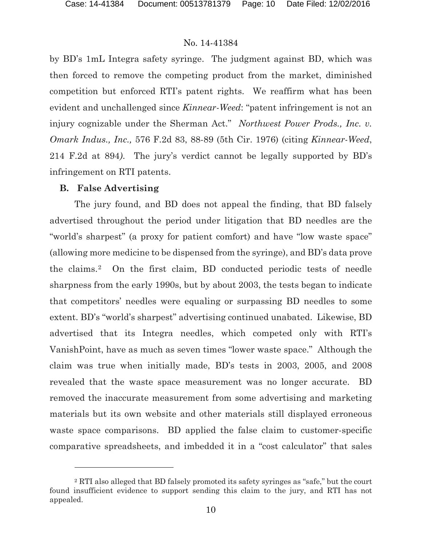by BD's 1mL Integra safety syringe. The judgment against BD, which was then forced to remove the competing product from the market, diminished competition but enforced RTI's patent rights. We reaffirm what has been evident and unchallenged since *Kinnear-Weed*: "patent infringement is not an injury cognizable under the Sherman Act." *Northwest Power Prods., Inc. v. Omark Indus., Inc.,* 576 F.2d 83, 88-89 (5th Cir. 1976) (citing *Kinnear-Weed*, 214 F.2d at 894*)*. The jury's verdict cannot be legally supported by BD's infringement on RTI patents.

#### **B. False Advertising**

 $\overline{a}$ 

The jury found, and BD does not appeal the finding, that BD falsely advertised throughout the period under litigation that BD needles are the "world's sharpest" (a proxy for patient comfort) and have "low waste space" (allowing more medicine to be dispensed from the syringe), and BD's data prove the claims.[2](#page-9-0) On the first claim, BD conducted periodic tests of needle sharpness from the early 1990s, but by about 2003, the tests began to indicate that competitors' needles were equaling or surpassing BD needles to some extent. BD's "world's sharpest" advertising continued unabated. Likewise, BD advertised that its Integra needles, which competed only with RTI's VanishPoint, have as much as seven times "lower waste space." Although the claim was true when initially made, BD's tests in 2003, 2005, and 2008 revealed that the waste space measurement was no longer accurate. BD removed the inaccurate measurement from some advertising and marketing materials but its own website and other materials still displayed erroneous waste space comparisons. BD applied the false claim to customer-specific comparative spreadsheets, and imbedded it in a "cost calculator" that sales

<span id="page-9-0"></span><sup>2</sup> RTI also alleged that BD falsely promoted its safety syringes as "safe," but the court found insufficient evidence to support sending this claim to the jury, and RTI has not appealed.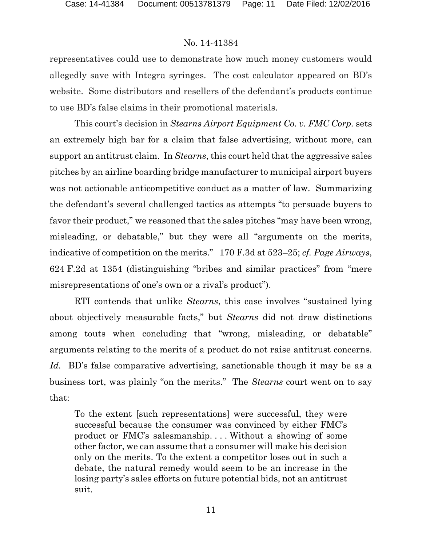representatives could use to demonstrate how much money customers would allegedly save with Integra syringes. The cost calculator appeared on BD's website. Some distributors and resellers of the defendant's products continue to use BD's false claims in their promotional materials.

This court's decision in *Stearns Airport Equipment Co. v. FMC Corp.* sets an extremely high bar for a claim that false advertising, without more, can support an antitrust claim. In *Stearns*, this court held that the aggressive sales pitches by an airline boarding bridge manufacturer to municipal airport buyers was not actionable anticompetitive conduct as a matter of law. Summarizing the defendant's several challenged tactics as attempts "to persuade buyers to favor their product," we reasoned that the sales pitches "may have been wrong, misleading, or debatable," but they were all "arguments on the merits, indicative of competition on the merits." 170 F.3d at 523–25; *cf. Page Airways*, 624 F.2d at 1354 (distinguishing "bribes and similar practices" from "mere misrepresentations of one's own or a rival's product").

RTI contends that unlike *Stearns*, this case involves "sustained lying about objectively measurable facts," but *Stearns* did not draw distinctions among touts when concluding that "wrong, misleading, or debatable" arguments relating to the merits of a product do not raise antitrust concerns. *Id.* BD's false comparative advertising, sanctionable though it may be as a business tort, was plainly "on the merits." The *Stearns* court went on to say that:

To the extent [such representations] were successful, they were successful because the consumer was convinced by either FMC's product or FMC's salesmanship. . . . Without a showing of some other factor, we can assume that a consumer will make his decision only on the merits. To the extent a competitor loses out in such a debate, the natural remedy would seem to be an increase in the losing party's sales efforts on future potential bids, not an antitrust suit.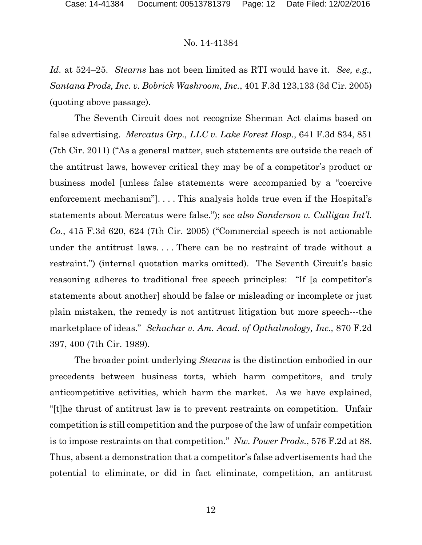*Id*. at 524–25. *Stearns* has not been limited as RTI would have it. *See, e.g., Santana Prods, Inc. v. Bobrick Washroom, Inc.*, 401 F.3d 123,133 (3d Cir. 2005) (quoting above passage).

The Seventh Circuit does not recognize Sherman Act claims based on false advertising. *Mercatus Grp., LLC v. Lake Forest Hosp.*, 641 F.3d 834, 851 (7th Cir. 2011) ("As a general matter, such statements are outside the reach of the antitrust laws, however critical they may be of a competitor's product or business model [unless false statements were accompanied by a "coercive enforcement mechanism"]. . . . This analysis holds true even if the Hospital's statements about Mercatus were false."); *see also Sanderson v. Culligan Int'l. Co*., 415 F.3d 620, 624 (7th Cir. 2005) ("Commercial speech is not actionable under the antitrust laws. . . . There can be no restraint of trade without a restraint.") (internal quotation marks omitted). The Seventh Circuit's basic reasoning adheres to traditional free speech principles: "If [a competitor's statements about another] should be false or misleading or incomplete or just plain mistaken, the remedy is not antitrust litigation but more speech---the marketplace of ideas." *Schachar v. Am. Acad. of Opthalmology, Inc.,* 870 F.2d 397, 400 (7th Cir. 1989).

The broader point underlying *Stearns* is the distinction embodied in our precedents between business torts, which harm competitors, and truly anticompetitive activities, which harm the market. As we have explained, "[t]he thrust of antitrust law is to prevent restraints on competition. Unfair competition is still competition and the purpose of the law of unfair competition is to impose restraints on that competition." *Nw. Power Prods.*, 576 F.2d at 88. Thus, absent a demonstration that a competitor's false advertisements had the potential to eliminate, or did in fact eliminate, competition, an antitrust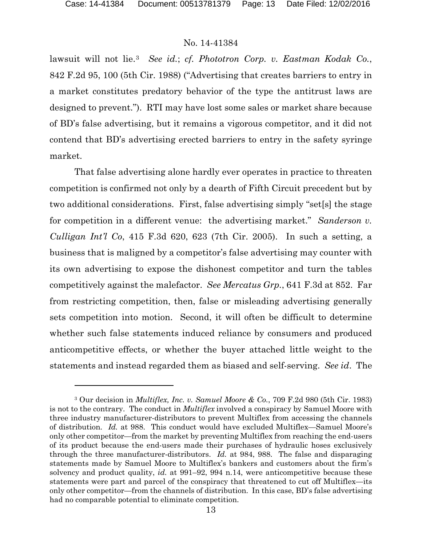$\overline{a}$ 

## No. 14-41384

lawsuit will not lie.[3](#page-12-0) *See id.*; *cf. Phototron Corp. v. Eastman Kodak Co.*, 842 F.2d 95, 100 (5th Cir. 1988) ("Advertising that creates barriers to entry in a market constitutes predatory behavior of the type the antitrust laws are designed to prevent."). RTI may have lost some sales or market share because of BD's false advertising, but it remains a vigorous competitor, and it did not contend that BD's advertising erected barriers to entry in the safety syringe market.

That false advertising alone hardly ever operates in practice to threaten competition is confirmed not only by a dearth of Fifth Circuit precedent but by two additional considerations. First, false advertising simply "set[s] the stage for competition in a different venue: the advertising market." *Sanderson v. Culligan Int'l Co*, 415 F.3d 620, 623 (7th Cir. 2005). In such a setting, a business that is maligned by a competitor's false advertising may counter with its own advertising to expose the dishonest competitor and turn the tables competitively against the malefactor. *See Mercatus Grp.*, 641 F.3d at 852. Far from restricting competition, then, false or misleading advertising generally sets competition into motion. Second, it will often be difficult to determine whether such false statements induced reliance by consumers and produced anticompetitive effects, or whether the buyer attached little weight to the statements and instead regarded them as biased and self-serving. *See id*. The

<span id="page-12-0"></span><sup>3</sup> Our decision in *Multiflex, Inc. v. Samuel Moore & Co.*, 709 F.2d 980 (5th Cir. 1983) is not to the contrary. The conduct in *Multiflex* involved a conspiracy by Samuel Moore with three industry manufacturer-distributors to prevent Multiflex from accessing the channels of distribution. *Id.* at 988. This conduct would have excluded Multiflex—Samuel Moore's only other competitor—from the market by preventing Multiflex from reaching the end-users of its product because the end-users made their purchases of hydraulic hoses exclusively through the three manufacturer-distributors. *Id.* at 984, 988. The false and disparaging statements made by Samuel Moore to Multiflex's bankers and customers about the firm's solvency and product quality, *id.* at 991–92, 994 n.14, were anticompetitive because these statements were part and parcel of the conspiracy that threatened to cut off Multiflex—its only other competitor—from the channels of distribution. In this case, BD's false advertising had no comparable potential to eliminate competition.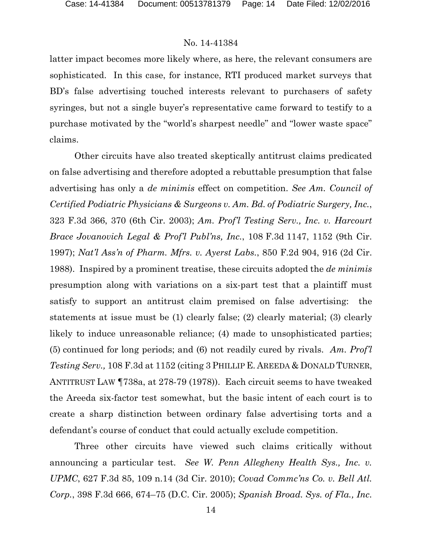latter impact becomes more likely where, as here, the relevant consumers are sophisticated. In this case, for instance, RTI produced market surveys that BD's false advertising touched interests relevant to purchasers of safety syringes, but not a single buyer's representative came forward to testify to a purchase motivated by the "world's sharpest needle" and "lower waste space" claims.

Other circuits have also treated skeptically antitrust claims predicated on false advertising and therefore adopted a rebuttable presumption that false advertising has only a *de minimis* effect on competition. *See Am. Council of Certified Podiatric Physicians & Surgeons v. Am. Bd. of Podiatric Surgery, Inc.*, 323 F.3d 366, 370 (6th Cir. 2003); *Am. Prof'l Testing Serv., Inc. v. Harcourt Brace Jovanovich Legal & Prof'l Publ'ns, Inc.*, 108 F.3d 1147, 1152 (9th Cir. 1997); *Nat'l Ass'n of Pharm. Mfrs. v. Ayerst Labs.*, 850 F.2d 904, 916 (2d Cir. 1988). Inspired by a prominent treatise, these circuits adopted the *de minimis*  presumption along with variations on a six-part test that a plaintiff must satisfy to support an antitrust claim premised on false advertising: the statements at issue must be (1) clearly false; (2) clearly material; (3) clearly likely to induce unreasonable reliance; (4) made to unsophisticated parties; (5) continued for long periods; and (6) not readily cured by rivals. *Am. Prof'l Testing Serv.,* 108 F.3d at 1152 (citing 3 PHILLIP E. AREEDA & DONALD TURNER, ANTITRUST LAW ¶738a, at 278-79 (1978)). Each circuit seems to have tweaked the Areeda six-factor test somewhat, but the basic intent of each court is to create a sharp distinction between ordinary false advertising torts and a defendant's course of conduct that could actually exclude competition.

Three other circuits have viewed such claims critically without announcing a particular test. *See W. Penn Allegheny Health Sys., Inc. v. UPMC*, 627 F.3d 85, 109 n.14 (3d Cir. 2010); *Covad Commc'ns Co. v. Bell Atl. Corp.*, 398 F.3d 666, 674–75 (D.C. Cir. 2005); *Spanish Broad. Sys. of Fla., Inc.*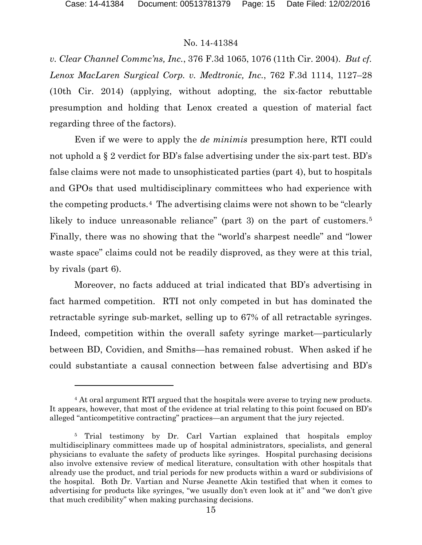$\overline{a}$ 

## No. 14-41384

*v. Clear Channel Commc'ns, Inc.*, 376 F.3d 1065, 1076 (11th Cir. 2004). *But cf. Lenox MacLaren Surgical Corp. v. Medtronic, Inc.*, 762 F.3d 1114, 1127–28 (10th Cir. 2014) (applying, without adopting, the six-factor rebuttable presumption and holding that Lenox created a question of material fact regarding three of the factors).

Even if we were to apply the *de minimis* presumption here, RTI could not uphold a § 2 verdict for BD's false advertising under the six-part test. BD's false claims were not made to unsophisticated parties (part 4), but to hospitals and GPOs that used multidisciplinary committees who had experience with the competing products.[4](#page-14-0) The advertising claims were not shown to be "clearly likely to induce unreasonable reliance" (part 3) on the part of customers.<sup>[5](#page-14-1)</sup> Finally, there was no showing that the "world's sharpest needle" and "lower waste space" claims could not be readily disproved, as they were at this trial, by rivals (part 6).

Moreover, no facts adduced at trial indicated that BD's advertising in fact harmed competition. RTI not only competed in but has dominated the retractable syringe sub-market, selling up to 67% of all retractable syringes. Indeed, competition within the overall safety syringe market—particularly between BD, Covidien, and Smiths—has remained robust. When asked if he could substantiate a causal connection between false advertising and BD's

<span id="page-14-0"></span><sup>4</sup> At oral argument RTI argued that the hospitals were averse to trying new products. It appears, however, that most of the evidence at trial relating to this point focused on BD's alleged "anticompetitive contracting" practices—an argument that the jury rejected.

<span id="page-14-1"></span><sup>&</sup>lt;sup>5</sup> Trial testimony by Dr. Carl Vartian explained that hospitals employ multidisciplinary committees made up of hospital administrators, specialists, and general physicians to evaluate the safety of products like syringes. Hospital purchasing decisions also involve extensive review of medical literature, consultation with other hospitals that already use the product, and trial periods for new products within a ward or subdivisions of the hospital. Both Dr. Vartian and Nurse Jeanette Akin testified that when it comes to advertising for products like syringes, "we usually don't even look at it" and "we don't give that much credibility" when making purchasing decisions.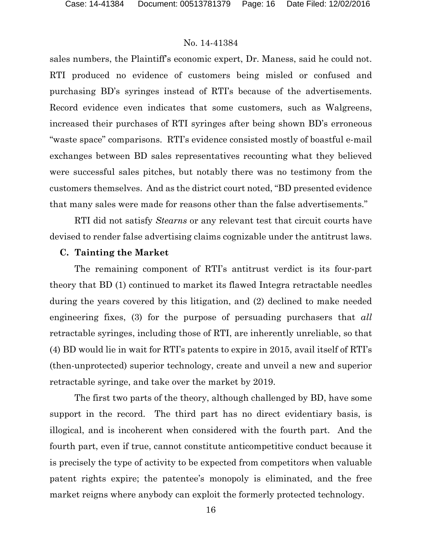sales numbers, the Plaintiff's economic expert, Dr. Maness, said he could not. RTI produced no evidence of customers being misled or confused and purchasing BD's syringes instead of RTI's because of the advertisements. Record evidence even indicates that some customers, such as Walgreens, increased their purchases of RTI syringes after being shown BD's erroneous "waste space" comparisons. RTI's evidence consisted mostly of boastful e-mail exchanges between BD sales representatives recounting what they believed were successful sales pitches, but notably there was no testimony from the customers themselves. And as the district court noted, "BD presented evidence that many sales were made for reasons other than the false advertisements."

RTI did not satisfy *Stearns* or any relevant test that circuit courts have devised to render false advertising claims cognizable under the antitrust laws.

#### **C. Tainting the Market**

The remaining component of RTI's antitrust verdict is its four-part theory that BD (1) continued to market its flawed Integra retractable needles during the years covered by this litigation, and (2) declined to make needed engineering fixes, (3) for the purpose of persuading purchasers that *all*  retractable syringes, including those of RTI, are inherently unreliable, so that (4) BD would lie in wait for RTI's patents to expire in 2015, avail itself of RTI's (then-unprotected) superior technology, create and unveil a new and superior retractable syringe, and take over the market by 2019.

The first two parts of the theory, although challenged by BD, have some support in the record. The third part has no direct evidentiary basis, is illogical, and is incoherent when considered with the fourth part. And the fourth part, even if true, cannot constitute anticompetitive conduct because it is precisely the type of activity to be expected from competitors when valuable patent rights expire; the patentee's monopoly is eliminated, and the free market reigns where anybody can exploit the formerly protected technology.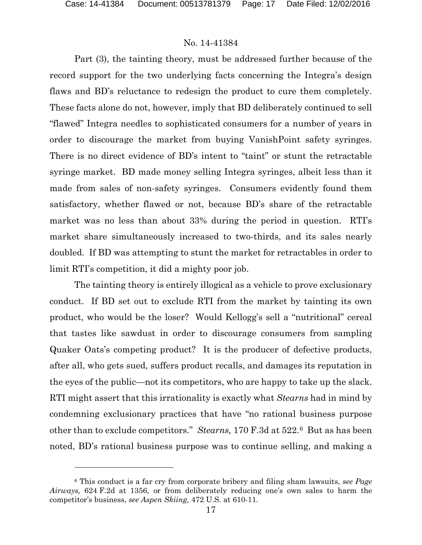$\overline{a}$ 

## No. 14-41384

Part (3), the tainting theory, must be addressed further because of the record support for the two underlying facts concerning the Integra's design flaws and BD's reluctance to redesign the product to cure them completely. These facts alone do not, however, imply that BD deliberately continued to sell "flawed" Integra needles to sophisticated consumers for a number of years in order to discourage the market from buying VanishPoint safety syringes. There is no direct evidence of BD's intent to "taint" or stunt the retractable syringe market. BD made money selling Integra syringes, albeit less than it made from sales of non-safety syringes. Consumers evidently found them satisfactory, whether flawed or not, because BD's share of the retractable market was no less than about 33% during the period in question. RTI's market share simultaneously increased to two-thirds, and its sales nearly doubled. If BD was attempting to stunt the market for retractables in order to limit RTI's competition, it did a mighty poor job.

The tainting theory is entirely illogical as a vehicle to prove exclusionary conduct. If BD set out to exclude RTI from the market by tainting its own product, who would be the loser? Would Kellogg's sell a "nutritional" cereal that tastes like sawdust in order to discourage consumers from sampling Quaker Oats's competing product? It is the producer of defective products, after all, who gets sued, suffers product recalls, and damages its reputation in the eyes of the public—not its competitors, who are happy to take up the slack. RTI might assert that this irrationality is exactly what *Stearns* had in mind by condemning exclusionary practices that have "no rational business purpose other than to exclude competitors." *Stearns,* 170 F.3d at 522.[6](#page-16-0) But as has been noted, BD's rational business purpose was to continue selling, and making a

<span id="page-16-0"></span><sup>6</sup> This conduct is a far cry from corporate bribery and filing sham lawsuits, *see Page Airways,* 624 F.2d at 1356, or from deliberately reducing one's own sales to harm the competitor's business, *see Aspen Skiing,* 472 U.S. at 610-11*.*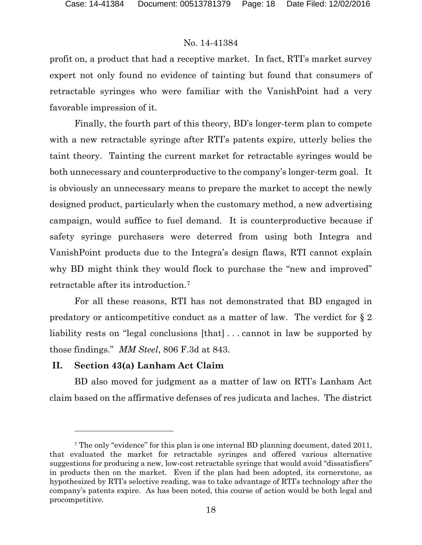profit on, a product that had a receptive market. In fact, RTI's market survey expert not only found no evidence of tainting but found that consumers of retractable syringes who were familiar with the VanishPoint had a very favorable impression of it.

Finally, the fourth part of this theory, BD's longer-term plan to compete with a new retractable syringe after RTI's patents expire, utterly belies the taint theory. Tainting the current market for retractable syringes would be both unnecessary and counterproductive to the company's longer-term goal. It is obviously an unnecessary means to prepare the market to accept the newly designed product, particularly when the customary method, a new advertising campaign, would suffice to fuel demand. It is counterproductive because if safety syringe purchasers were deterred from using both Integra and VanishPoint products due to the Integra's design flaws, RTI cannot explain why BD might think they would flock to purchase the "new and improved" retractable after its introduction.[7](#page-17-0)

For all these reasons, RTI has not demonstrated that BD engaged in predatory or anticompetitive conduct as a matter of law. The verdict for § 2 liability rests on "legal conclusions [that] ... cannot in law be supported by those findings." *MM Steel*, 806 F.3d at 843.

#### **II. Section 43(a) Lanham Act Claim**

 $\overline{a}$ 

BD also moved for judgment as a matter of law on RTI's Lanham Act claim based on the affirmative defenses of res judicata and laches. The district

<span id="page-17-0"></span><sup>7</sup> The only "evidence" for this plan is one internal BD planning document, dated 2011, that evaluated the market for retractable syringes and offered various alternative suggestions for producing a new, low-cost retractable syringe that would avoid "dissatisfiers" in products then on the market. Even if the plan had been adopted, its cornerstone, as hypothesized by RTI's selective reading, was to take advantage of RTI's technology after the company's patents expire. As has been noted, this course of action would be both legal and procompetitive.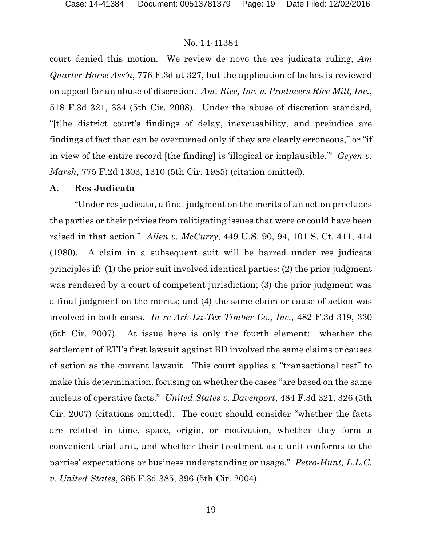court denied this motion. We review de novo the res judicata ruling, *Am Quarter Horse Ass'n*, 776 F.3d at 327, but the application of laches is reviewed on appeal for an abuse of discretion. *Am. Rice, Inc. v. Producers Rice Mill, Inc.*, 518 F.3d 321, 334 (5th Cir. 2008). Under the abuse of discretion standard, "[t]he district court's findings of delay, inexcusability, and prejudice are findings of fact that can be overturned only if they are clearly erroneous," or "if in view of the entire record [the finding] is 'illogical or implausible.'" *Geyen v. Marsh*, 775 F.2d 1303, 1310 (5th Cir. 1985) (citation omitted).

#### **A. Res Judicata**

"Under res judicata, a final judgment on the merits of an action precludes the parties or their privies from relitigating issues that were or could have been raised in that action." *Allen v. McCurry*, 449 U.S. 90, 94, 101 S. Ct. 411, 414 (1980). A claim in a subsequent suit will be barred under res judicata principles if: (1) the prior suit involved identical parties; (2) the prior judgment was rendered by a court of competent jurisdiction; (3) the prior judgment was a final judgment on the merits; and (4) the same claim or cause of action was involved in both cases. *In re Ark-La-Tex Timber Co., Inc.*, 482 F.3d 319, 330 (5th Cir. 2007). At issue here is only the fourth element: whether the settlement of RTI's first lawsuit against BD involved the same claims or causes of action as the current lawsuit. This court applies a "transactional test" to make this determination, focusing on whether the cases "are based on the same nucleus of operative facts." *United States v. Davenport*, 484 F.3d 321, 326 (5th Cir. 2007) (citations omitted). The court should consider "whether the facts are related in time, space, origin, or motivation, whether they form a convenient trial unit, and whether their treatment as a unit conforms to the parties' expectations or business understanding or usage." *Petro-Hunt, L.L.C. v. United States*, 365 F.3d 385, 396 (5th Cir. 2004).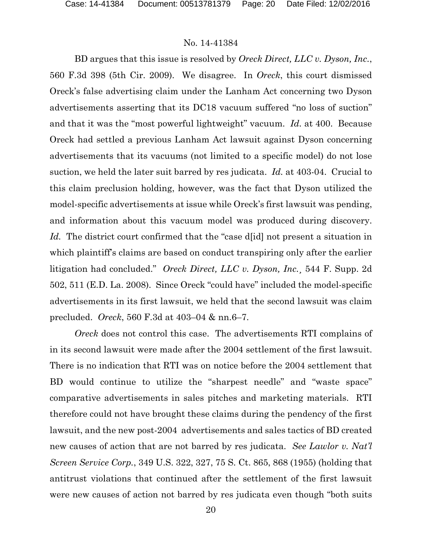BD argues that this issue is resolved by *Oreck Direct, LLC v. Dyson, Inc.*, 560 F.3d 398 (5th Cir. 2009). We disagree. In *Oreck*, this court dismissed Oreck's false advertising claim under the Lanham Act concerning two Dyson advertisements asserting that its DC18 vacuum suffered "no loss of suction" and that it was the "most powerful lightweight" vacuum. *Id.* at 400. Because Oreck had settled a previous Lanham Act lawsuit against Dyson concerning advertisements that its vacuums (not limited to a specific model) do not lose suction, we held the later suit barred by res judicata. *Id.* at 403-04. Crucial to this claim preclusion holding, however, was the fact that Dyson utilized the model-specific advertisements at issue while Oreck's first lawsuit was pending, and information about this vacuum model was produced during discovery. Id. The district court confirmed that the "case d<sup>[id]</sup> not present a situation in which plaintiff's claims are based on conduct transpiring only after the earlier litigation had concluded." *Oreck Direct, LLC v. Dyson, Inc.*¸ 544 F. Supp. 2d 502, 511 (E.D. La. 2008). Since Oreck "could have" included the model-specific advertisements in its first lawsuit, we held that the second lawsuit was claim precluded. *Oreck*, 560 F.3d at 403–04 & nn.6–7.

*Oreck* does not control this case. The advertisements RTI complains of in its second lawsuit were made after the 2004 settlement of the first lawsuit. There is no indication that RTI was on notice before the 2004 settlement that BD would continue to utilize the "sharpest needle" and "waste space" comparative advertisements in sales pitches and marketing materials. RTI therefore could not have brought these claims during the pendency of the first lawsuit, and the new post-2004 advertisements and sales tactics of BD created new causes of action that are not barred by res judicata. *See Lawlor v. Nat'l Screen Service Corp.*, 349 U.S. 322, 327, 75 S. Ct. 865, 868 (1955) (holding that antitrust violations that continued after the settlement of the first lawsuit were new causes of action not barred by res judicata even though "both suits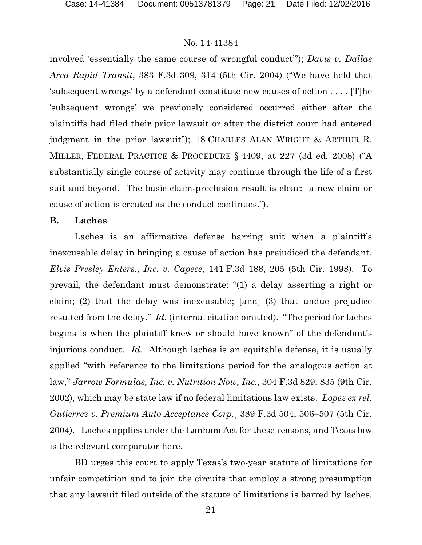involved 'essentially the same course of wrongful conduct'"); *Davis v. Dallas Area Rapid Transit*, 383 F.3d 309, 314 (5th Cir. 2004) ("We have held that 'subsequent wrongs' by a defendant constitute new causes of action . . . . [T]he 'subsequent wrongs' we previously considered occurred either after the plaintiffs had filed their prior lawsuit or after the district court had entered judgment in the prior lawsuit"); 18 CHARLES ALAN WRIGHT & ARTHUR R. MILLER, FEDERAL PRACTICE & PROCEDURE § 4409, at 227 (3d ed. 2008) ("A substantially single course of activity may continue through the life of a first suit and beyond. The basic claim-preclusion result is clear: a new claim or cause of action is created as the conduct continues.").

#### **B. Laches**

Laches is an affirmative defense barring suit when a plaintiff's inexcusable delay in bringing a cause of action has prejudiced the defendant. *Elvis Presley Enters., Inc. v. Capece*, 141 F.3d 188, 205 (5th Cir. 1998). To prevail, the defendant must demonstrate: "(1) a delay asserting a right or claim; (2) that the delay was inexcusable; [and] (3) that undue prejudice resulted from the delay." *Id.* (internal citation omitted). "The period for laches begins is when the plaintiff knew or should have known" of the defendant's injurious conduct. *Id.* Although laches is an equitable defense, it is usually applied "with reference to the limitations period for the analogous action at law," *Jarrow Formulas, Inc. v. Nutrition Now, Inc.*, 304 F.3d 829, 835 (9th Cir. 2002), which may be state law if no federal limitations law exists. *Lopez ex rel. Gutierrez v. Premium Auto Acceptance Corp.*¸ 389 F.3d 504, 506–507 (5th Cir. 2004). Laches applies under the Lanham Act for these reasons, and Texas law is the relevant comparator here.

BD urges this court to apply Texas's two-year statute of limitations for unfair competition and to join the circuits that employ a strong presumption that any lawsuit filed outside of the statute of limitations is barred by laches.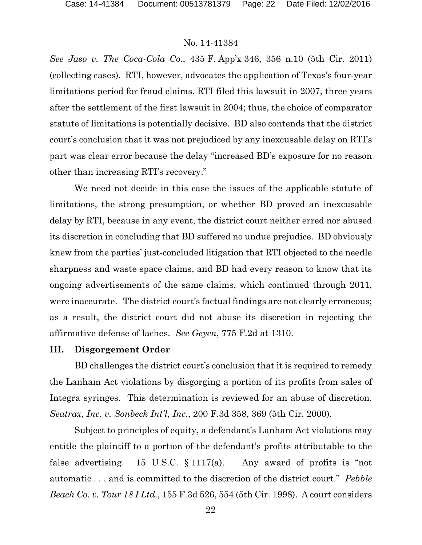*See Jaso v. The Coca-Cola Co.*, 435 F. App'x 346, 356 n.10 (5th Cir. 2011) (collecting cases). RTI, however, advocates the application of Texas's four-year limitations period for fraud claims. RTI filed this lawsuit in 2007, three years after the settlement of the first lawsuit in 2004; thus, the choice of comparator statute of limitations is potentially decisive. BD also contends that the district court's conclusion that it was not prejudiced by any inexcusable delay on RTI's part was clear error because the delay "increased BD's exposure for no reason other than increasing RTI's recovery."

We need not decide in this case the issues of the applicable statute of limitations, the strong presumption, or whether BD proved an inexcusable delay by RTI, because in any event, the district court neither erred nor abused its discretion in concluding that BD suffered no undue prejudice. BD obviously knew from the parties' just-concluded litigation that RTI objected to the needle sharpness and waste space claims, and BD had every reason to know that its ongoing advertisements of the same claims, which continued through 2011, were inaccurate. The district court's factual findings are not clearly erroneous; as a result, the district court did not abuse its discretion in rejecting the affirmative defense of laches. *See Geyen*, 775 F.2d at 1310.

#### **III. Disgorgement Order**

BD challenges the district court's conclusion that it is required to remedy the Lanham Act violations by disgorging a portion of its profits from sales of Integra syringes. This determination is reviewed for an abuse of discretion. *Seatrax, Inc. v. Sonbeck Int'l, Inc.*, 200 F.3d 358, 369 (5th Cir. 2000).

Subject to principles of equity, a defendant's Lanham Act violations may entitle the plaintiff to a portion of the defendant's profits attributable to the false advertising. 15 U.S.C.  $\S 1117(a)$ . Any award of profits is "not automatic . . . and is committed to the discretion of the district court." *Pebble Beach Co. v. Tour 18 I Ltd.*, 155 F.3d 526, 554 (5th Cir. 1998). A court considers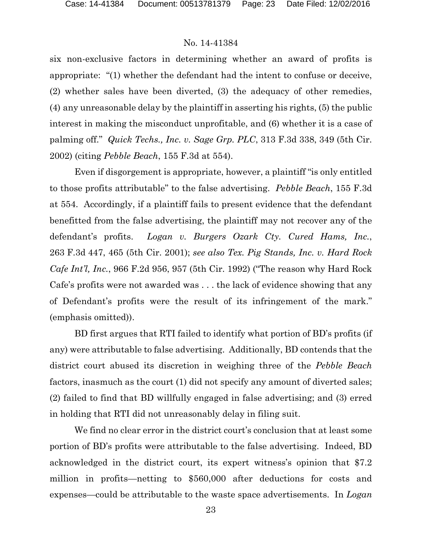six non-exclusive factors in determining whether an award of profits is appropriate: "(1) whether the defendant had the intent to confuse or deceive, (2) whether sales have been diverted, (3) the adequacy of other remedies, (4) any unreasonable delay by the plaintiff in asserting his rights, (5) the public interest in making the misconduct unprofitable, and (6) whether it is a case of palming off." *Quick Techs., Inc. v. Sage Grp. PLC*, 313 F.3d 338, 349 (5th Cir. 2002) (citing *Pebble Beach*, 155 F.3d at 554).

Even if disgorgement is appropriate, however, a plaintiff "is only entitled to those profits attributable" to the false advertising. *Pebble Beach*, 155 F.3d at 554. Accordingly, if a plaintiff fails to present evidence that the defendant benefitted from the false advertising, the plaintiff may not recover any of the defendant's profits. *Logan v. Burgers Ozark Cty. Cured Hams, Inc.*, 263 F.3d 447, 465 (5th Cir. 2001); *see also Tex. Pig Stands, Inc. v. Hard Rock Cafe Int'l, Inc.*, 966 F.2d 956, 957 (5th Cir. 1992) ("The reason why Hard Rock Cafe's profits were not awarded was . . . the lack of evidence showing that any of Defendant's profits were the result of its infringement of the mark." (emphasis omitted)).

BD first argues that RTI failed to identify what portion of BD's profits (if any) were attributable to false advertising. Additionally, BD contends that the district court abused its discretion in weighing three of the *Pebble Beach* factors, inasmuch as the court (1) did not specify any amount of diverted sales; (2) failed to find that BD willfully engaged in false advertising; and (3) erred in holding that RTI did not unreasonably delay in filing suit.

We find no clear error in the district court's conclusion that at least some portion of BD's profits were attributable to the false advertising. Indeed, BD acknowledged in the district court, its expert witness's opinion that \$7.2 million in profits—netting to \$560,000 after deductions for costs and expenses—could be attributable to the waste space advertisements. In *Logan*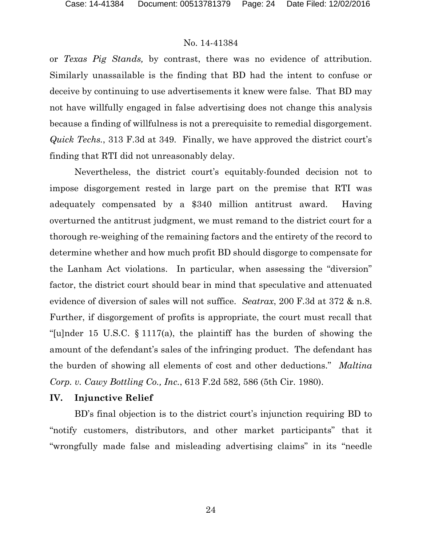or *Texas Pig Stands,* by contrast, there was no evidence of attribution. Similarly unassailable is the finding that BD had the intent to confuse or deceive by continuing to use advertisements it knew were false. That BD may not have willfully engaged in false advertising does not change this analysis because a finding of willfulness is not a prerequisite to remedial disgorgement. *Quick Techs.*, 313 F.3d at 349. Finally, we have approved the district court's finding that RTI did not unreasonably delay.

Nevertheless, the district court's equitably-founded decision not to impose disgorgement rested in large part on the premise that RTI was adequately compensated by a \$340 million antitrust award. Having overturned the antitrust judgment, we must remand to the district court for a thorough re-weighing of the remaining factors and the entirety of the record to determine whether and how much profit BD should disgorge to compensate for the Lanham Act violations. In particular, when assessing the "diversion" factor, the district court should bear in mind that speculative and attenuated evidence of diversion of sales will not suffice. *Seatrax*, 200 F.3d at 372 & n.8. Further, if disgorgement of profits is appropriate, the court must recall that "[u]nder 15 U.S.C.  $\S 1117(a)$ , the plaintiff has the burden of showing the amount of the defendant's sales of the infringing product. The defendant has the burden of showing all elements of cost and other deductions." *Maltina Corp. v. Cawy Bottling Co., Inc.*, 613 F.2d 582, 586 (5th Cir. 1980).

## **IV. Injunctive Relief**

BD's final objection is to the district court's injunction requiring BD to "notify customers, distributors, and other market participants" that it "wrongfully made false and misleading advertising claims" in its "needle

24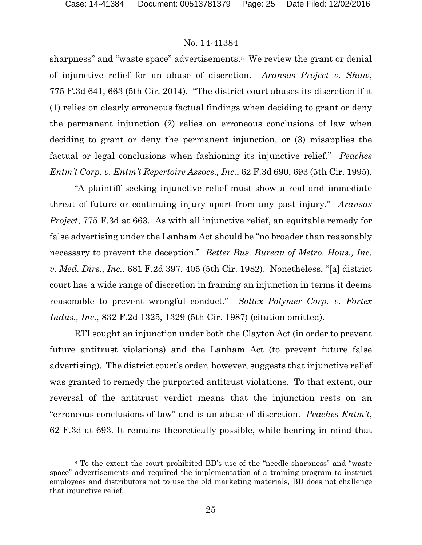l

## No. 14-41384

sharpness" and "waste space" advertisements.<sup>8</sup> We review the grant or denial of injunctive relief for an abuse of discretion. *Aransas Project v. Shaw*, 775 F.3d 641, 663 (5th Cir. 2014). "The district court abuses its discretion if it (1) relies on clearly erroneous factual findings when deciding to grant or deny the permanent injunction (2) relies on erroneous conclusions of law when deciding to grant or deny the permanent injunction, or (3) misapplies the factual or legal conclusions when fashioning its injunctive relief." *Peaches Entm't Corp. v. Entm't Repertoire Assocs., Inc.*, 62 F.3d 690, 693 (5th Cir. 1995).

"A plaintiff seeking injunctive relief must show a real and immediate threat of future or continuing injury apart from any past injury." *Aransas Project*, 775 F.3d at 663. As with all injunctive relief, an equitable remedy for false advertising under the Lanham Act should be "no broader than reasonably necessary to prevent the deception." *Better Bus. Bureau of Metro. Hous., Inc. v. Med. Dirs., Inc.*, 681 F.2d 397, 405 (5th Cir. 1982). Nonetheless, "[a] district court has a wide range of discretion in framing an injunction in terms it deems reasonable to prevent wrongful conduct." *Soltex Polymer Corp. v. Fortex Indus., Inc.*, 832 F.2d 1325, 1329 (5th Cir. 1987) (citation omitted).

RTI sought an injunction under both the Clayton Act (in order to prevent future antitrust violations) and the Lanham Act (to prevent future false advertising). The district court's order, however, suggests that injunctive relief was granted to remedy the purported antitrust violations. To that extent, our reversal of the antitrust verdict means that the injunction rests on an "erroneous conclusions of law" and is an abuse of discretion. *Peaches Entm't*, 62 F.3d at 693. It remains theoretically possible, while bearing in mind that

<span id="page-24-0"></span><sup>8</sup> To the extent the court prohibited BD's use of the "needle sharpness" and "waste space" advertisements and required the implementation of a training program to instruct employees and distributors not to use the old marketing materials, BD does not challenge that injunctive relief.